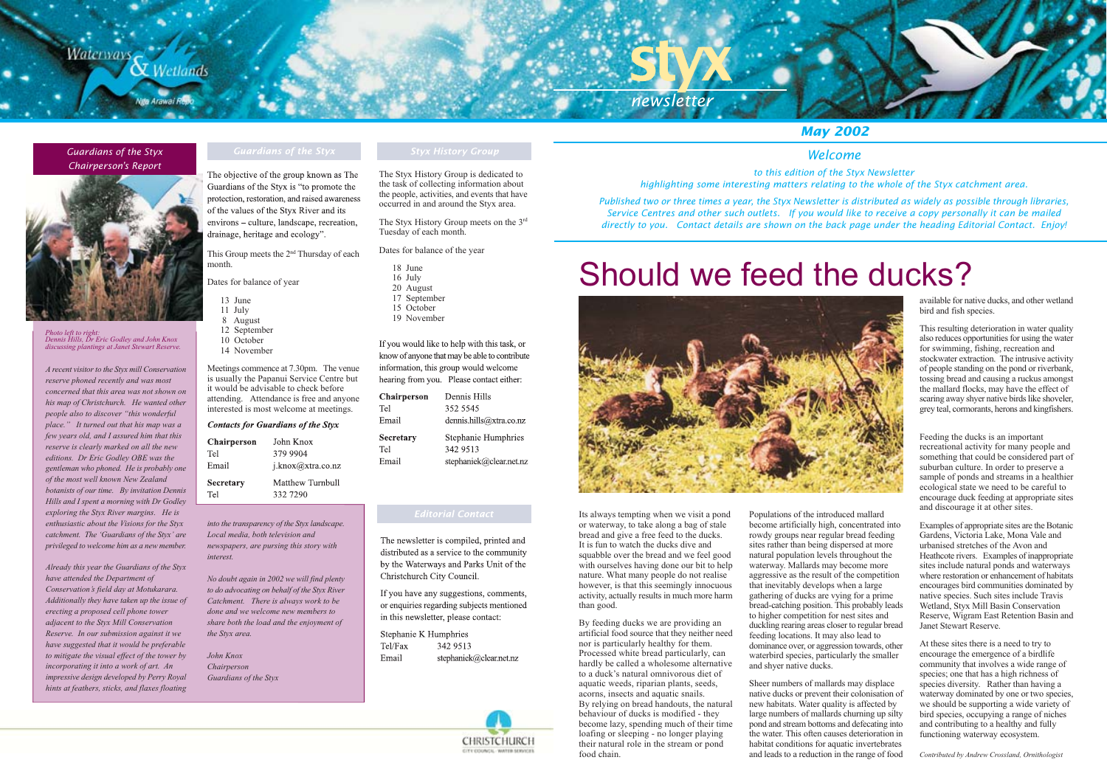# **Waterways X** Wetlands

### **Guardians of the Styx Chairperson's Report**



Photo left to right:<br>Dennis Hills, Dr Eric Godley and John Knox<br>discussing plantings at Janet Stewart Reserve.

A recent visitor to the Styx mill Conservation reserve phoned recently and was most concerned that this area was not shown on his map of Christchurch. He wanted other people also to discover "this wonderful place." It turned out that his map was a few years old, and I assured him that this reserve is clearly marked on all the new editions. Dr Eric Godley OBE was the gentleman who phoned. He is probably one of the most well known New Zealand botanists of our time. By invitation Dennis Hills and I spent a morning with Dr Godley exploring the Styx River margins. He is enthusiastic about the Visions for the Styx catchment. The 'Guardians of the Styx' are privileged to welcome him as a new member.

Already this year the Guardians of the Styx have attended the Department of Conservation's field day at Motukarara. Additionally they have taken up the issue of erecting a proposed cell phone tower adjacent to the Styx Mill Conservation Reserve. In our submission against it we have suggested that it would be preferable to mitigate the visual effect of the tower by incorporating it into a work of art. An impressive design developed by Perry Royal hints at feathers, sticks, and flaxes floating

The objective of the group known as The Guardians of the Styx is "to promote the protection, restoration, and raised awareness of the values of the Styx River and its environs – culture, landscape, recreation, drainage, heritage and ecology".

This Group meets the 2<sup>nd</sup> Thursday of each month.

Dates for balance of year

- 13 June
- 11 July
- 8 August 12 September
- 10 October
- 14 November

Meetings commence at 7.30pm. The venue is usually the Papanui Service Centre but it would be advisable to check before attending. Attendance is free and anyone interested is most welcome at meetings.

### **Contacts for Guardians of the Styx**

| <b>Chairperson</b> | John Knox         |
|--------------------|-------------------|
| Tel                | 379 9904          |
| Email              | i.knox@xtra.co.nz |
| Secretary          | Matthew Turnbull  |
| Tel                | 332 7290          |

into the transparency of the Styx landscape. Local media, both television and newspapers, are pursing this story with interest.

No doubt again in 2002 we will find plenty to do advocating on behalf of the Styx River Catchment. There is always work to be done and we welcome new members to share both the load and the enjoyment of the Styx area.

John Knox Chairperson Guardians of the Styx

The Styx History Group is dedicated to the task of collecting information about the people, activities, and events that have occurred in and around the Styx area.

The Styx History Group meets on the 3rd Tuesday of each month.

Dates for balance of the year

- 18 June
- 16 July 20 August
- 17 September
- 15 October
- 19 November

If you would like to help with this task, or know of anyone that may be able to contribute information, this group would welcome hearing from you. Please contact either:

| Chairperson | Dennis Hills            |
|-------------|-------------------------|
| Tel         | 352 5545                |
| Email       | dennis.hills@xtra.co.nz |
|             |                         |
| Secretary   | Stephanie Humphries     |
| Tel         | 342 9513                |

The newsletter is compiled, printed and distributed as a service to the community by the Waterways and Parks Unit of the

If you have any suggestions, comments, or enquiries regarding subjects mentioned in this newsletter, please contact:

Stephanie K Humphries Tel/Fax 342 9513 Email



newsletter

to this edition of the Styx Newsletter highlighting some interesting matters relating to the whole of the Styx catchment area.

Published two or three times a year, the Styx Newsletter is distributed as widely as possible through libraries, Service Centres and other such outlets. If you would like to receive a copy personally it can be mailed directly to you. Contact details are shown on the back page under the heading Editorial Contact. Enjoy!

# Should we feed the ducks?



Its always tempting when we visit a pond or waterway, to take along a bag of stale bread and give a free feed to the ducks. It is fun to watch the ducks dive and squabble over the bread and we feel good with ourselves having done our bit to help nature. What many people do not realise however, is that this seemingly innocuous activity, actually results in much more harm than good.

By feeding ducks we are providing an artificial food source that they neither need nor is particularly healthy for them. Processed white bread particularly, can hardly be called a wholesome alternative to a duck's natural omnivorous diet of aquatic weeds, riparian plants, seeds, acorns, insects and aquatic snails. By relying on bread handouts, the natural behaviour of ducks is modified - they become lazy, spending much of their time loafing or sleeping - no longer playing their natural role in the stream or pond food chain.

Populations of the introduced mallard become artificially high, concentrated into rowdy groups near regular bread feeding sites rather than being dispersed at more natural population levels throughout the waterway. Mallards may become more aggressive as the result of the competition that inevitably develops when a large gathering of ducks are vying for a prime bread-catching position. This probably leads to higher competition for nest sites and duckling rearing areas closer to regular bread feeding locations. It may also lead to dominance over, or aggression towards, other waterbird species, particularly the smaller and shyer native ducks.

Sheer numbers of mallards may displace native ducks or prevent their colonisation of new habitats. Water quality is affected by large numbers of mallards churning up silty pond and stream bottoms and defecating into the water. This often causes deterioration in habitat conditions for aquatic invertebrates and leads to a reduction in the range of food

Christchurch City Council.

stephaniek@clear.net.nz



## **May 2002**

### Welcome

available for native ducks, and other wetland bird and fish species.

This resulting deterioration in water quality also reduces opportunities for using the water for swimming, fishing, recreation and stockwater extraction. The intrusive activity of people standing on the pond or riverbank, tossing bread and causing a ruckus amongst the mallard flocks, may have the effect of scaring away shyer native birds like shoveler, grey teal, cormorants, herons and kingfishers.

Feeding the ducks is an important recreational activity for many people and something that could be considered part of suburban culture. In order to preserve a sample of ponds and streams in a healthier ecological state we need to be careful to encourage duck feeding at appropriate sites and discourage it at other sites.

Examples of appropriate sites are the Botanic Gardens, Victoria Lake, Mona Vale and urbanised stretches of the Avon and Heathcote rivers. Examples of inappropriate sites include natural ponds and waterways where restoration or enhancement of habitats encourages bird communities dominated by native species. Such sites include Travis Wetland, Styx Mill Basin Conservation Reserve, Wigram East Retention Basin and Janet Stewart Reserve.

At these sites there is a need to try to encourage the emergence of a birdlife community that involves a wide range of species; one that has a high richness of species diversity. Rather than having a waterway dominated by one or two species, we should be supporting a wide variety of bird species, occupying a range of niches and contributing to a healthy and fully functioning waterway ecosystem.

Contributed by Andrew Crossland, Ornithologist